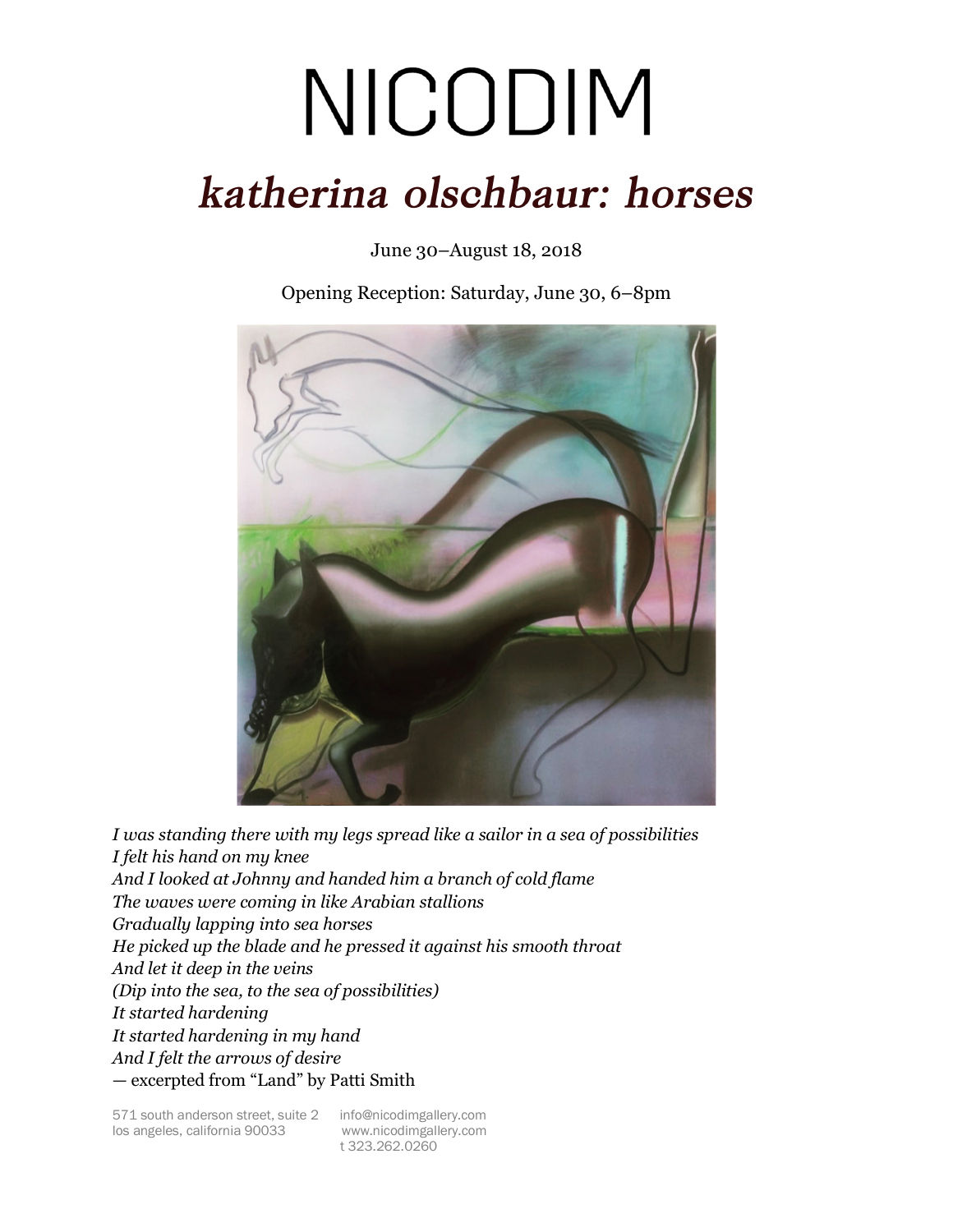## NICODIM katherina olschbaur: horses

June 30–August 18, 2018

Opening Reception: Saturday, June 30, 6–8pm



*I was standing there with my legs spread like a sailor in a sea of possibilities I felt his hand on my knee And I looked at Johnny and handed him a branch of cold flame The waves were coming in like Arabian stallions Gradually lapping into sea horses He picked up the blade and he pressed it against his smooth throat And let it deep in the veins (Dip into the sea, to the sea of possibilities) It started hardening It started hardening in my hand And I felt the arrows of desire* — excerpted from "Land" by Patti Smith

t 323.262.0260